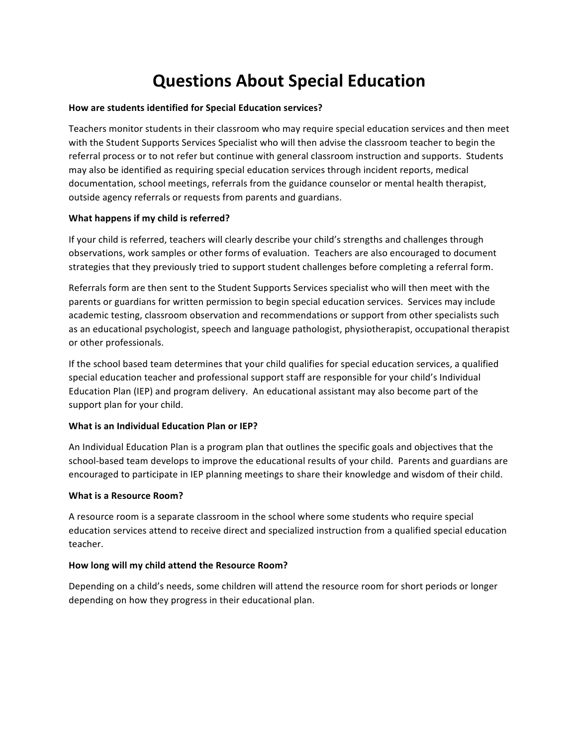# **Questions About Special Education**

#### How are students identified for Special Education services?

Teachers monitor students in their classroom who may require special education services and then meet with the Student Supports Services Specialist who will then advise the classroom teacher to begin the referral process or to not refer but continue with general classroom instruction and supports. Students may also be identified as requiring special education services through incident reports, medical documentation, school meetings, referrals from the guidance counselor or mental health therapist, outside agency referrals or requests from parents and guardians.

### **What happens if my child is referred?**

If your child is referred, teachers will clearly describe your child's strengths and challenges through observations, work samples or other forms of evaluation. Teachers are also encouraged to document strategies that they previously tried to support student challenges before completing a referral form.

Referrals form are then sent to the Student Supports Services specialist who will then meet with the parents or guardians for written permission to begin special education services. Services may include academic testing, classroom observation and recommendations or support from other specialists such as an educational psychologist, speech and language pathologist, physiotherapist, occupational therapist or other professionals.

If the school based team determines that your child qualifies for special education services, a qualified special education teacher and professional support staff are responsible for your child's Individual Education Plan (IEP) and program delivery. An educational assistant may also become part of the support plan for your child.

### **What is an Individual Education Plan or IEP?**

An Individual Education Plan is a program plan that outlines the specific goals and objectives that the school-based team develops to improve the educational results of your child. Parents and guardians are encouraged to participate in IEP planning meetings to share their knowledge and wisdom of their child.

### **What is a Resource Room?**

A resource room is a separate classroom in the school where some students who require special education services attend to receive direct and specialized instruction from a qualified special education teacher.

### How long will my child attend the Resource Room?

Depending on a child's needs, some children will attend the resource room for short periods or longer depending on how they progress in their educational plan.